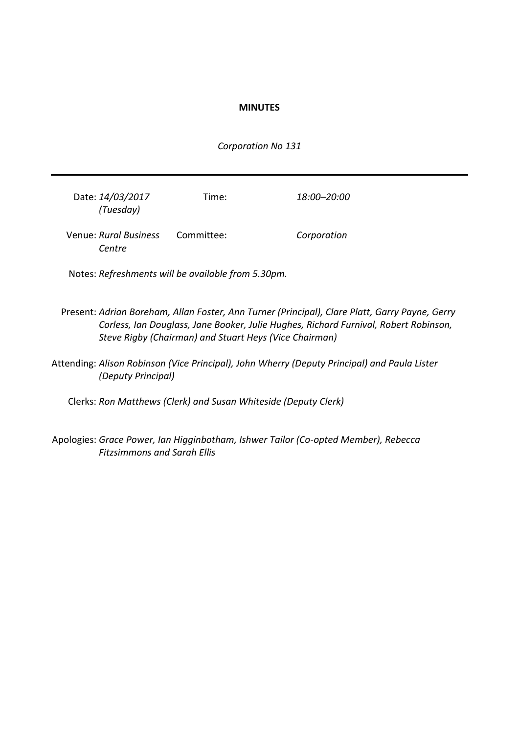#### **MINUTES**

*Corporation No 131*

| Date: 14/03/2017<br>(Tuesday)   | Time:      | 18:00–20:00 |
|---------------------------------|------------|-------------|
| Venue: Rural Business<br>Centre | Committee: | Corporation |

Notes: *Refreshments will be available from 5.30pm.*

- Present: *Adrian Boreham, Allan Foster, Ann Turner (Principal), Clare Platt, Garry Payne, Gerry Corless, Ian Douglass, Jane Booker, Julie Hughes, Richard Furnival, Robert Robinson, Steve Rigby (Chairman) and Stuart Heys (Vice Chairman)*
- Attending: *Alison Robinson (Vice Principal), John Wherry (Deputy Principal) and Paula Lister (Deputy Principal)*

Clerks: *Ron Matthews (Clerk) and Susan Whiteside (Deputy Clerk)*

Apologies: *Grace Power, Ian Higginbotham, Ishwer Tailor (Co-opted Member), Rebecca Fitzsimmons and Sarah Ellis*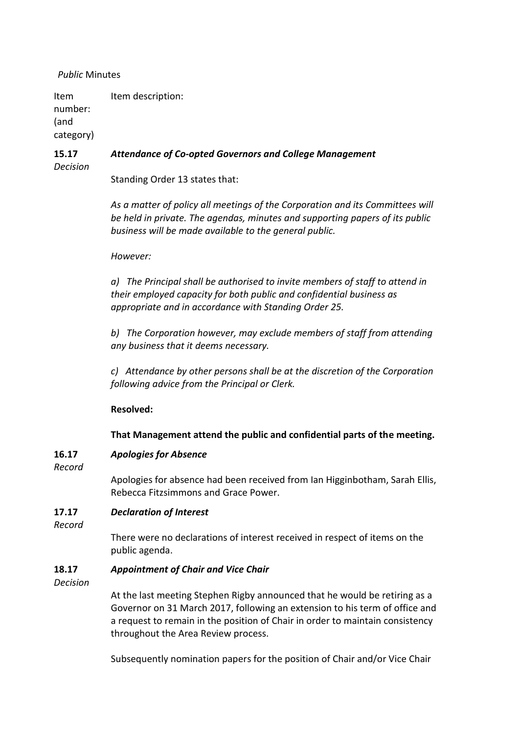## *Public* Minutes

Item number: (and category) Item description:

#### **15.17** *Attendance of Co-opted Governors and College Management*

*Decision*

Standing Order 13 states that:

*As a matter of policy all meetings of the Corporation and its Committees will be held in private. The agendas, minutes and supporting papers of its public business will be made available to the general public.*

### *However:*

*a) The Principal shall be authorised to invite members of staff to attend in their employed capacity for both public and confidential business as appropriate and in accordance with Standing Order 25.*

*b) The Corporation however, may exclude members of staff from attending any business that it deems necessary.*

*c) Attendance by other persons shall be at the discretion of the Corporation following advice from the Principal or Clerk.*

## **Resolved:**

## **That Management attend the public and confidential parts of the meeting.**

#### **16.17** *Apologies for Absence*

*Record*

Apologies for absence had been received from Ian Higginbotham, Sarah Ellis, Rebecca Fitzsimmons and Grace Power.

#### **17.17** *Declaration of Interest*

*Record*

There were no declarations of interest received in respect of items on the public agenda.

#### **18.17** *Appointment of Chair and Vice Chair*

*Decision*

At the last meeting Stephen Rigby announced that he would be retiring as a Governor on 31 March 2017, following an extension to his term of office and a request to remain in the position of Chair in order to maintain consistency throughout the Area Review process.

Subsequently nomination papers for the position of Chair and/or Vice Chair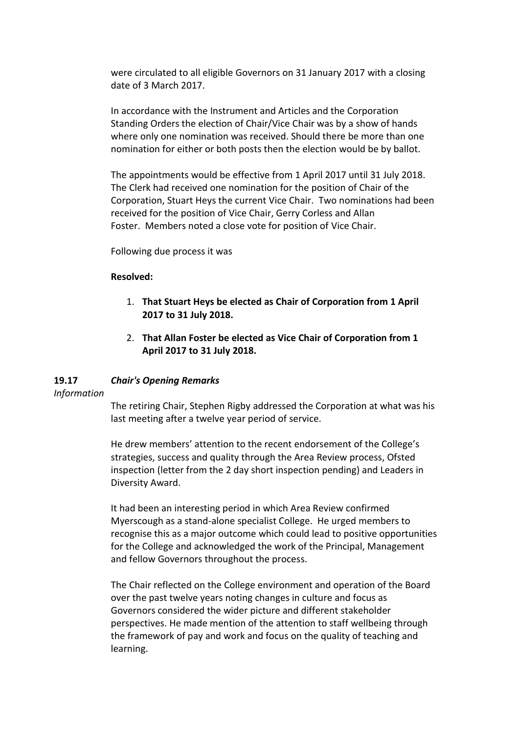were circulated to all eligible Governors on 31 January 2017 with a closing date of 3 March 2017.

In accordance with the Instrument and Articles and the Corporation Standing Orders the election of Chair/Vice Chair was by a show of hands where only one nomination was received. Should there be more than one nomination for either or both posts then the election would be by ballot.

The appointments would be effective from 1 April 2017 until 31 July 2018. The Clerk had received one nomination for the position of Chair of the Corporation, Stuart Heys the current Vice Chair. Two nominations had been received for the position of Vice Chair, Gerry Corless and Allan Foster. Members noted a close vote for position of Vice Chair.

Following due process it was

# **Resolved:**

- 1. **That Stuart Heys be elected as Chair of Corporation from 1 April 2017 to 31 July 2018.**
- 2. **That Allan Foster be elected as Vice Chair of Corporation from 1 April 2017 to 31 July 2018.**

#### **19.17** *Chair's Opening Remarks*

*Information*

The retiring Chair, Stephen Rigby addressed the Corporation at what was his last meeting after a twelve year period of service.

He drew members' attention to the recent endorsement of the College's strategies, success and quality through the Area Review process, Ofsted inspection (letter from the 2 day short inspection pending) and Leaders in Diversity Award.

It had been an interesting period in which Area Review confirmed Myerscough as a stand-alone specialist College. He urged members to recognise this as a major outcome which could lead to positive opportunities for the College and acknowledged the work of the Principal, Management and fellow Governors throughout the process.

The Chair reflected on the College environment and operation of the Board over the past twelve years noting changes in culture and focus as Governors considered the wider picture and different stakeholder perspectives. He made mention of the attention to staff wellbeing through the framework of pay and work and focus on the quality of teaching and learning.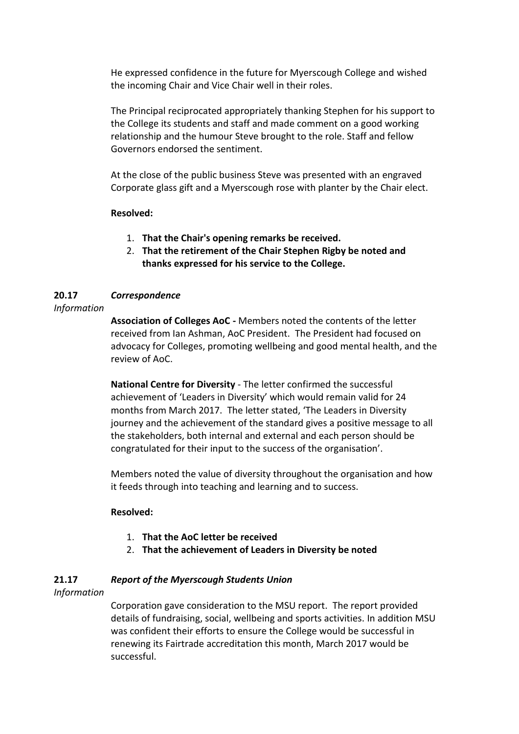He expressed confidence in the future for Myerscough College and wished the incoming Chair and Vice Chair well in their roles.

The Principal reciprocated appropriately thanking Stephen for his support to the College its students and staff and made comment on a good working relationship and the humour Steve brought to the role. Staff and fellow Governors endorsed the sentiment.

At the close of the public business Steve was presented with an engraved Corporate glass gift and a Myerscough rose with planter by the Chair elect.

# **Resolved:**

- 1. **That the Chair's opening remarks be received.**
- 2. **That the retirement of the Chair Stephen Rigby be noted and thanks expressed for his service to the College.**

#### **20.17** *Correspondence*

# *Information*

**Association of Colleges AoC -** Members noted the contents of the letter received from Ian Ashman, AoC President. The President had focused on advocacy for Colleges, promoting wellbeing and good mental health, and the review of AoC.

**National Centre for Diversity** - The letter confirmed the successful achievement of 'Leaders in Diversity' which would remain valid for 24 months from March 2017. The letter stated, 'The Leaders in Diversity journey and the achievement of the standard gives a positive message to all the stakeholders, both internal and external and each person should be congratulated for their input to the success of the organisation'.

Members noted the value of diversity throughout the organisation and how it feeds through into teaching and learning and to success.

## **Resolved:**

- 1. **That the AoC letter be received**
- 2. **That the achievement of Leaders in Diversity be noted**

#### **21.17** *Report of the Myerscough Students Union*

*Information*

Corporation gave consideration to the MSU report. The report provided details of fundraising, social, wellbeing and sports activities. In addition MSU was confident their efforts to ensure the College would be successful in renewing its Fairtrade accreditation this month, March 2017 would be successful.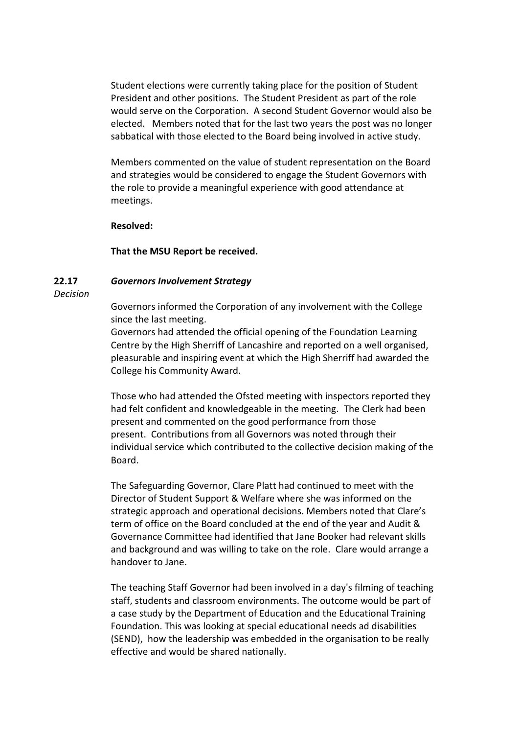Student elections were currently taking place for the position of Student President and other positions. The Student President as part of the role would serve on the Corporation. A second Student Governor would also be elected. Members noted that for the last two years the post was no longer sabbatical with those elected to the Board being involved in active study.

Members commented on the value of student representation on the Board and strategies would be considered to engage the Student Governors with the role to provide a meaningful experience with good attendance at meetings.

#### **Resolved:**

#### **That the MSU Report be received.**

#### **22.17** *Governors Involvement Strategy*

*Decision*

Governors informed the Corporation of any involvement with the College since the last meeting.

Governors had attended the official opening of the Foundation Learning Centre by the High Sherriff of Lancashire and reported on a well organised, pleasurable and inspiring event at which the High Sherriff had awarded the College his Community Award.

Those who had attended the Ofsted meeting with inspectors reported they had felt confident and knowledgeable in the meeting. The Clerk had been present and commented on the good performance from those present. Contributions from all Governors was noted through their individual service which contributed to the collective decision making of the Board.

The Safeguarding Governor, Clare Platt had continued to meet with the Director of Student Support & Welfare where she was informed on the strategic approach and operational decisions. Members noted that Clare's term of office on the Board concluded at the end of the year and Audit & Governance Committee had identified that Jane Booker had relevant skills and background and was willing to take on the role. Clare would arrange a handover to Jane.

The teaching Staff Governor had been involved in a day's filming of teaching staff, students and classroom environments. The outcome would be part of a case study by the Department of Education and the Educational Training Foundation. This was looking at special educational needs ad disabilities (SEND), how the leadership was embedded in the organisation to be really effective and would be shared nationally.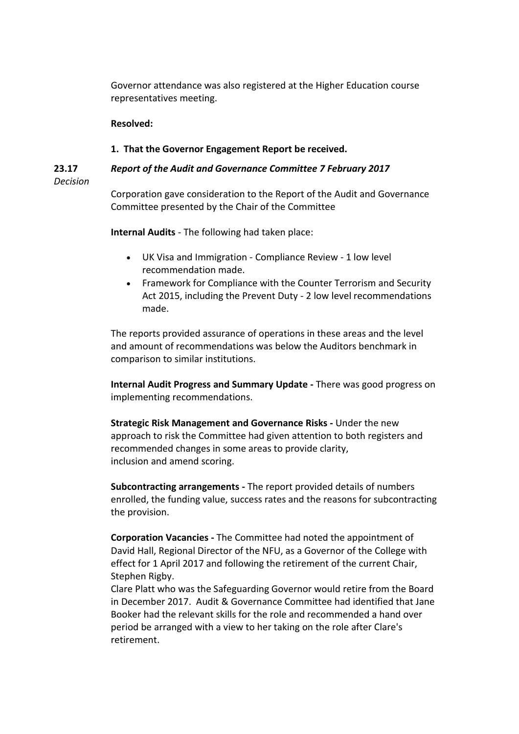Governor attendance was also registered at the Higher Education course representatives meeting.

### **Resolved:**

#### **1. That the Governor Engagement Report be received.**

**23.17** *Report of the Audit and Governance Committee 7 February 2017*

*Decision*

Corporation gave consideration to the Report of the Audit and Governance Committee presented by the Chair of the Committee

**Internal Audits** - The following had taken place:

- UK Visa and Immigration Compliance Review 1 low level recommendation made.
- Framework for Compliance with the Counter Terrorism and Security Act 2015, including the Prevent Duty - 2 low level recommendations made.

The reports provided assurance of operations in these areas and the level and amount of recommendations was below the Auditors benchmark in comparison to similar institutions.

**Internal Audit Progress and Summary Update -** There was good progress on implementing recommendations.

**Strategic Risk Management and Governance Risks -** Under the new approach to risk the Committee had given attention to both registers and recommended changes in some areas to provide clarity, inclusion and amend scoring.

**Subcontracting arrangements -** The report provided details of numbers enrolled, the funding value, success rates and the reasons for subcontracting the provision.

**Corporation Vacancies -** The Committee had noted the appointment of David Hall, Regional Director of the NFU, as a Governor of the College with effect for 1 April 2017 and following the retirement of the current Chair, Stephen Rigby.

Clare Platt who was the Safeguarding Governor would retire from the Board in December 2017. Audit & Governance Committee had identified that Jane Booker had the relevant skills for the role and recommended a hand over period be arranged with a view to her taking on the role after Clare's retirement.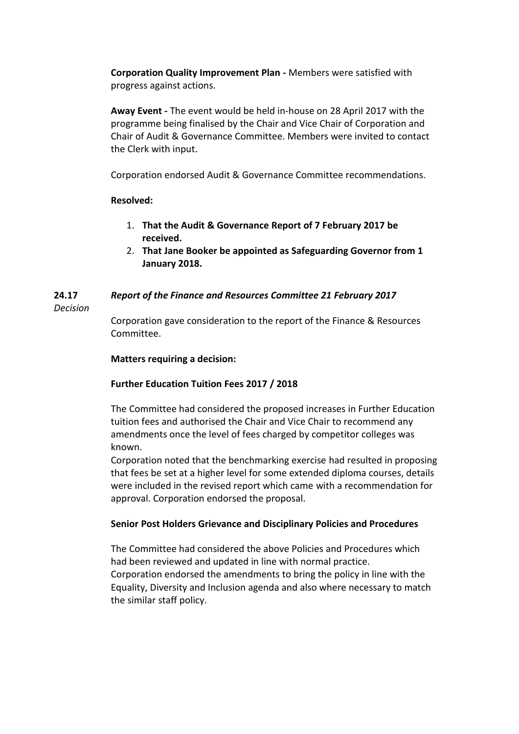**Corporation Quality Improvement Plan -** Members were satisfied with progress against actions.

**Away Event -** The event would be held in-house on 28 April 2017 with the programme being finalised by the Chair and Vice Chair of Corporation and Chair of Audit & Governance Committee. Members were invited to contact the Clerk with input.

Corporation endorsed Audit & Governance Committee recommendations.

# **Resolved:**

- 1. **That the Audit & Governance Report of 7 February 2017 be received.**
- 2. **That Jane Booker be appointed as Safeguarding Governor from 1 January 2018.**

#### **24.17** *Report of the Finance and Resources Committee 21 February 2017*

*Decision*

Corporation gave consideration to the report of the Finance & Resources Committee.

# **Matters requiring a decision:**

# **Further Education Tuition Fees 2017 / 2018**

The Committee had considered the proposed increases in Further Education tuition fees and authorised the Chair and Vice Chair to recommend any amendments once the level of fees charged by competitor colleges was known.

Corporation noted that the benchmarking exercise had resulted in proposing that fees be set at a higher level for some extended diploma courses, details were included in the revised report which came with a recommendation for approval. Corporation endorsed the proposal.

## **Senior Post Holders Grievance and Disciplinary Policies and Procedures**

The Committee had considered the above Policies and Procedures which had been reviewed and updated in line with normal practice. Corporation endorsed the amendments to bring the policy in line with the Equality, Diversity and Inclusion agenda and also where necessary to match the similar staff policy.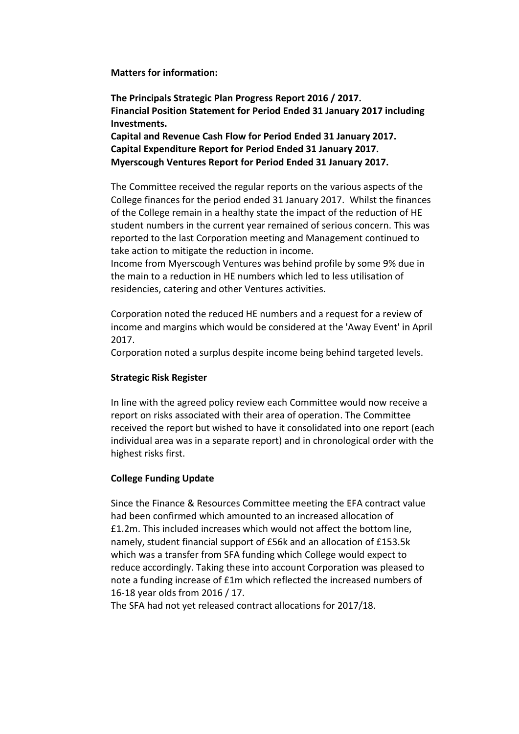**Matters for information:**

**The Principals Strategic Plan Progress Report 2016 / 2017. Financial Position Statement for Period Ended 31 January 2017 including Investments.**

**Capital and Revenue Cash Flow for Period Ended 31 January 2017. Capital Expenditure Report for Period Ended 31 January 2017. Myerscough Ventures Report for Period Ended 31 January 2017.**

The Committee received the regular reports on the various aspects of the College finances for the period ended 31 January 2017. Whilst the finances of the College remain in a healthy state the impact of the reduction of HE student numbers in the current year remained of serious concern. This was reported to the last Corporation meeting and Management continued to take action to mitigate the reduction in income.

Income from Myerscough Ventures was behind profile by some 9% due in the main to a reduction in HE numbers which led to less utilisation of residencies, catering and other Ventures activities.

Corporation noted the reduced HE numbers and a request for a review of income and margins which would be considered at the 'Away Event' in April 2017.

Corporation noted a surplus despite income being behind targeted levels.

## **Strategic Risk Register**

In line with the agreed policy review each Committee would now receive a report on risks associated with their area of operation. The Committee received the report but wished to have it consolidated into one report (each individual area was in a separate report) and in chronological order with the highest risks first.

## **College Funding Update**

Since the Finance & Resources Committee meeting the EFA contract value had been confirmed which amounted to an increased allocation of £1.2m. This included increases which would not affect the bottom line, namely, student financial support of £56k and an allocation of £153.5k which was a transfer from SFA funding which College would expect to reduce accordingly. Taking these into account Corporation was pleased to note a funding increase of £1m which reflected the increased numbers of 16-18 year olds from 2016 / 17.

The SFA had not yet released contract allocations for 2017/18.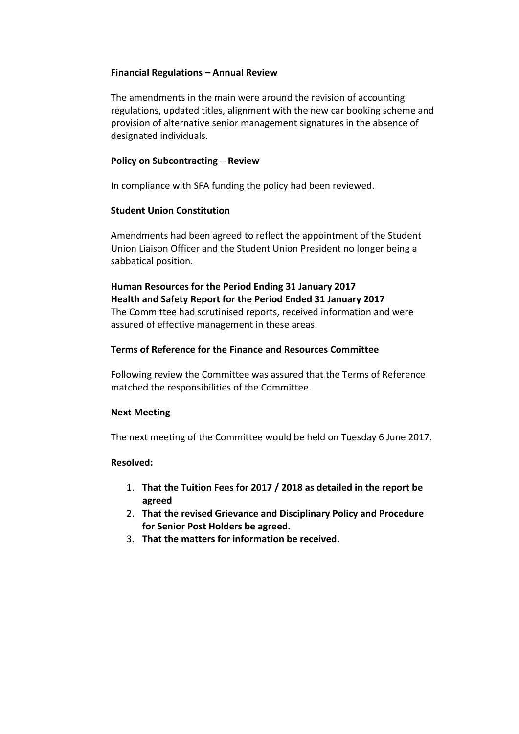## **Financial Regulations – Annual Review**

The amendments in the main were around the revision of accounting regulations, updated titles, alignment with the new car booking scheme and provision of alternative senior management signatures in the absence of designated individuals.

### **Policy on Subcontracting – Review**

In compliance with SFA funding the policy had been reviewed.

### **Student Union Constitution**

Amendments had been agreed to reflect the appointment of the Student Union Liaison Officer and the Student Union President no longer being a sabbatical position.

# **Human Resources for the Period Ending 31 January 2017 Health and Safety Report for the Period Ended 31 January 2017** The Committee had scrutinised reports, received information and were assured of effective management in these areas.

### **Terms of Reference for the Finance and Resources Committee**

Following review the Committee was assured that the Terms of Reference matched the responsibilities of the Committee.

#### **Next Meeting**

The next meeting of the Committee would be held on Tuesday 6 June 2017.

#### **Resolved:**

- 1. **That the Tuition Fees for 2017 / 2018 as detailed in the report be agreed**
- 2. **That the revised Grievance and Disciplinary Policy and Procedure for Senior Post Holders be agreed.**
- 3. **That the matters for information be received.**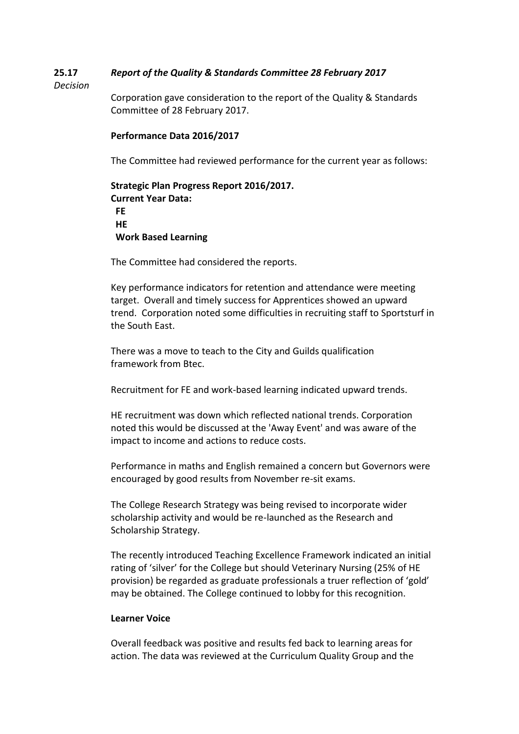#### **25.17** *Report of the Quality & Standards Committee 28 February 2017*

### *Decision*

Corporation gave consideration to the report of the Quality & Standards Committee of 28 February 2017.

### **Performance Data 2016/2017**

The Committee had reviewed performance for the current year as follows:

```
Strategic Plan Progress Report 2016/2017. 
Current Year Data:
 FE
 HE
 Work Based Learning
```
The Committee had considered the reports.

Key performance indicators for retention and attendance were meeting target. Overall and timely success for Apprentices showed an upward trend. Corporation noted some difficulties in recruiting staff to Sportsturf in the South East.

There was a move to teach to the City and Guilds qualification framework from Btec.

Recruitment for FE and work-based learning indicated upward trends.

HE recruitment was down which reflected national trends. Corporation noted this would be discussed at the 'Away Event' and was aware of the impact to income and actions to reduce costs.

Performance in maths and English remained a concern but Governors were encouraged by good results from November re-sit exams.

The College Research Strategy was being revised to incorporate wider scholarship activity and would be re-launched as the Research and Scholarship Strategy.

The recently introduced Teaching Excellence Framework indicated an initial rating of 'silver' for the College but should Veterinary Nursing (25% of HE provision) be regarded as graduate professionals a truer reflection of 'gold' may be obtained. The College continued to lobby for this recognition.

#### **Learner Voice**

Overall feedback was positive and results fed back to learning areas for action. The data was reviewed at the Curriculum Quality Group and the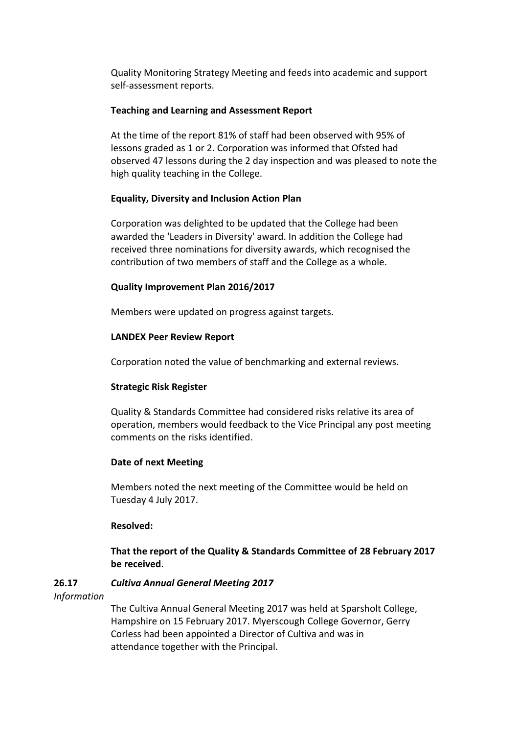Quality Monitoring Strategy Meeting and feeds into academic and support self-assessment reports.

## **Teaching and Learning and Assessment Report**

At the time of the report 81% of staff had been observed with 95% of lessons graded as 1 or 2. Corporation was informed that Ofsted had observed 47 lessons during the 2 day inspection and was pleased to note the high quality teaching in the College.

# **Equality, Diversity and Inclusion Action Plan**

Corporation was delighted to be updated that the College had been awarded the 'Leaders in Diversity' award. In addition the College had received three nominations for diversity awards, which recognised the contribution of two members of staff and the College as a whole.

# **Quality Improvement Plan 2016/2017**

Members were updated on progress against targets.

# **LANDEX Peer Review Report**

Corporation noted the value of benchmarking and external reviews.

## **Strategic Risk Register**

Quality & Standards Committee had considered risks relative its area of operation, members would feedback to the Vice Principal any post meeting comments on the risks identified.

## **Date of next Meeting**

Members noted the next meeting of the Committee would be held on Tuesday 4 July 2017.

## **Resolved:**

**That the report of the Quality & Standards Committee of 28 February 2017 be received**.

#### **26.17** *Cultiva Annual General Meeting 2017*

*Information*

The Cultiva Annual General Meeting 2017 was held at Sparsholt College, Hampshire on 15 February 2017. Myerscough College Governor, Gerry Corless had been appointed a Director of Cultiva and was in attendance together with the Principal.